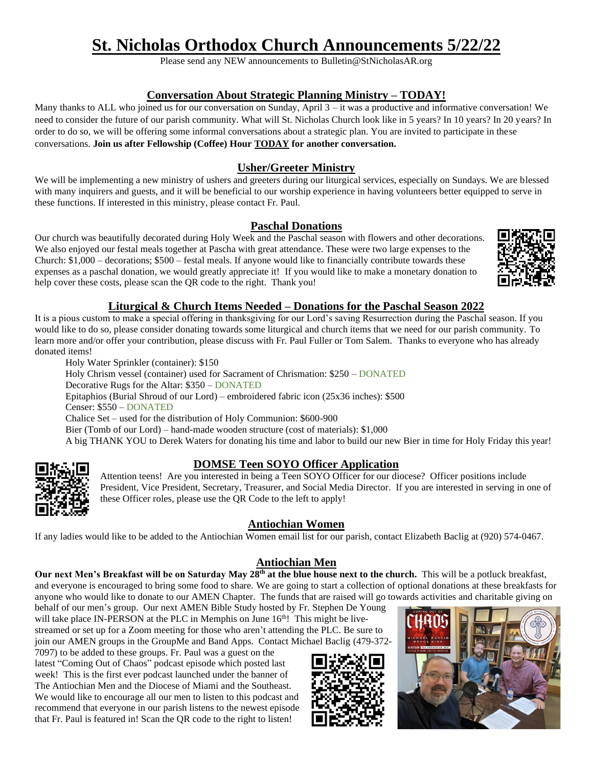# **St. Nicholas Orthodox Church Announcements 5/22/22**

Please send any NEW announcements to Bulletin@StNicholasAR.org

## **Conversation About Strategic Planning Ministry – TODAY!**

Many thanks to ALL who joined us for our conversation on Sunday, April 3 – it was a productive and informative conversation! We need to consider the future of our parish community. What will St. Nicholas Church look like in 5 years? In 10 years? In 20 years? In order to do so, we will be offering some informal conversations about a strategic plan. You are invited to participate in these conversations. **Join us after Fellowship (Coffee) Hour TODAY for another conversation.**

## **Usher/Greeter Ministry**

We will be implementing a new ministry of ushers and greeters during our liturgical services, especially on Sundays. We are blessed with many inquirers and guests, and it will be beneficial to our worship experience in having volunteers better equipped to serve in these functions. If interested in this ministry, please contact Fr. Paul.

#### **Paschal Donations**

Our church was beautifully decorated during Holy Week and the Paschal season with flowers and other decorations. We also enjoyed our festal meals together at Pascha with great attendance. These were two large expenses to the Church: \$1,000 – decorations; \$500 – festal meals. If anyone would like to financially contribute towards these expenses as a paschal donation, we would greatly appreciate it! If you would like to make a monetary donation to help cover these costs, please scan the QR code to the right. Thank you!

#### **Liturgical & Church Items Needed – Donations for the Paschal Season 2022**

It is a pious custom to make a special offering in thanksgiving for our Lord's saving Resurrection during the Paschal season. If you would like to do so, please consider donating towards some liturgical and church items that we need for our parish community. To learn more and/or offer your contribution, please discuss with Fr. Paul Fuller or Tom Salem. Thanks to everyone who has already donated items!

Holy Water Sprinkler (container): \$150 Holy Chrism vessel (container) used for Sacrament of Chrismation: \$250 – DONATED Decorative Rugs for the Altar: \$350 – DONATED Epitaphios (Burial Shroud of our Lord) – embroidered fabric icon (25x36 inches): \$500 Censer: \$550 – DONATED Chalice Set – used for the distribution of Holy Communion: \$600-900 Bier (Tomb of our Lord) – hand-made wooden structure (cost of materials): \$1,000 A big THANK YOU to Derek Waters for donating his time and labor to build our new Bier in time for Holy Friday this year!



## **DOMSE Teen SOYO Officer Application**

Attention teens! Are you interested in being a Teen SOYO Officer for our diocese? Officer positions include President, Vice President, Secretary, Treasurer, and Social Media Director. If you are interested in serving in one of these Officer roles, please use the QR Code to the left to apply!

#### **Antiochian Women**

If any ladies would like to be added to the Antiochian Women email list for our parish, contact Elizabeth Baclig at (920) 574-0467.

#### **Antiochian Men**

**Our next Men's Breakfast will be on Saturday May 28th at the blue house next to the church.** This will be a potluck breakfast, and everyone is encouraged to bring some food to share. We are going to start a collection of optional donations at these breakfasts for anyone who would like to donate to our AMEN Chapter. The funds that are raised will go towards activities and charitable giving on

behalf of our men's group. Our next AMEN Bible Study hosted by Fr. Stephen De Young will take place IN-PERSON at the PLC in Memphis on June  $16<sup>th</sup>$ ! This might be livestreamed or set up for a Zoom meeting for those who aren't attending the PLC. Be sure to join our AMEN groups in the GroupMe and Band Apps. Contact Michael Baclig (479-372-

7097) to be added to these groups. Fr. Paul was a guest on the latest "Coming Out of Chaos" podcast episode which posted last week! This is the first ever podcast launched under the banner of The Antiochian Men and the Diocese of Miami and the Southeast. We would like to encourage all our men to listen to this podcast and recommend that everyone in our parish listens to the newest episode that Fr. Paul is featured in! Scan the QR code to the right to listen!